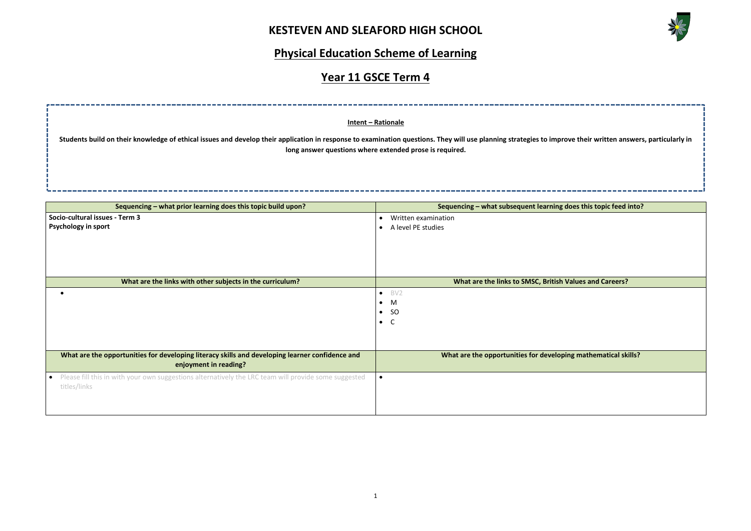

## **Physical Education Scheme of Learning**

## **Year 11 GSCE Term 4**



| Sequencing - what prior learning does this topic build upon?                                                                      | Sequencing - what subsequent learning of     |
|-----------------------------------------------------------------------------------------------------------------------------------|----------------------------------------------|
| Socio-cultural issues - Term 3                                                                                                    | Written examination<br>$\bullet$             |
| <b>Psychology in sport</b>                                                                                                        | A level PE studies                           |
|                                                                                                                                   |                                              |
|                                                                                                                                   |                                              |
|                                                                                                                                   |                                              |
|                                                                                                                                   |                                              |
| What are the links with other subjects in the curriculum?                                                                         | <b>What are the links to SMSC, British \</b> |
| $\bullet$                                                                                                                         | BV <sub>2</sub><br>$\bullet$                 |
|                                                                                                                                   | M<br>$\bullet$                               |
|                                                                                                                                   | <sub>SO</sub><br>$\bullet$                   |
|                                                                                                                                   | C<br>$\bullet$                               |
|                                                                                                                                   |                                              |
|                                                                                                                                   |                                              |
| What are the opportunities for developing literacy skills and developing learner confidence and<br>enjoyment in reading?          | What are the opportunities for developi      |
| Please fill this in with your own suggestions alternatively the LRC team will provide some suggested<br>$\bullet$<br>titles/links | $\bullet$                                    |
|                                                                                                                                   |                                              |
|                                                                                                                                   |                                              |
|                                                                                                                                   |                                              |

# **Intent – Rationale Students build on their knowledge of ethical issues and develop their application in response to examination questions. They will use planning strategies to improve their written answers, particularly in long answer questions where extended prose is required.**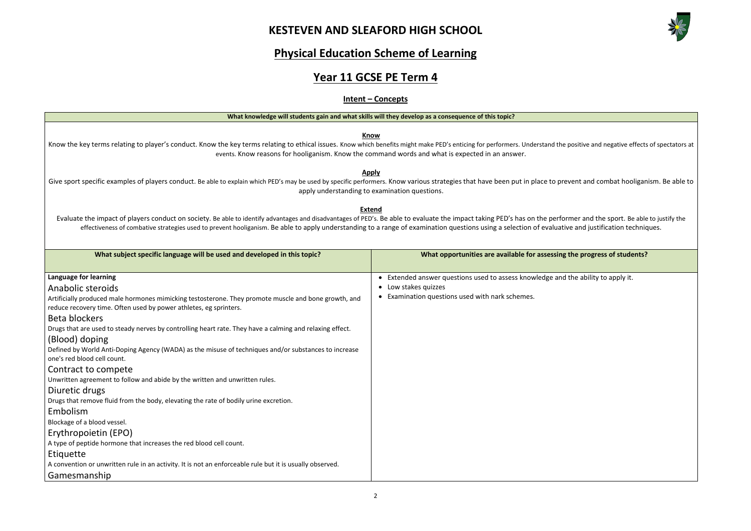

# **Physical Education Scheme of Learning**

# **Year 11 GCSE PE Term 4**

### **Intent – Concepts**

| <u>What Knowledge will students gain and what skills will they develop as a consequence of this topic:</u>                                                                                                                                                                                                                                                                                                                                   |                                                                                   |  |  |  |
|----------------------------------------------------------------------------------------------------------------------------------------------------------------------------------------------------------------------------------------------------------------------------------------------------------------------------------------------------------------------------------------------------------------------------------------------|-----------------------------------------------------------------------------------|--|--|--|
| <b>Know</b><br>Know the key terms relating to player's conduct. Know the key terms relating to ethical issues. Know which benefits might make PED's enticing for performers. Understand the positive and negative effects of spectators at<br>events. Know reasons for hooliganism. Know the command words and what is expected in an answer.                                                                                                |                                                                                   |  |  |  |
| <b>Apply</b><br>Give sport specific examples of players conduct. Be able to explain which PED's may be used by specific performers. Know various strategies that have been put in place to prevent and combat hooliganism. Be able to<br>apply understanding to examination questions.                                                                                                                                                       |                                                                                   |  |  |  |
| <b>Extend</b><br>Evaluate the impact of players conduct on society. Be able to identify advantages and disadvantages of PED's. Be able to evaluate the impact taking PED's has on the performer and the sport. Be able to justify the<br>effectiveness of combative strategies used to prevent hooliganism. Be able to apply understanding to a range of examination questions using a selection of evaluative and justification techniques. |                                                                                   |  |  |  |
| What subject specific language will be used and developed in this topic?                                                                                                                                                                                                                                                                                                                                                                     | What opportunities are available for assessing the progress of students?          |  |  |  |
|                                                                                                                                                                                                                                                                                                                                                                                                                                              |                                                                                   |  |  |  |
| Language for learning                                                                                                                                                                                                                                                                                                                                                                                                                        | • Extended answer questions used to assess knowledge and the ability to apply it. |  |  |  |
| Anabolic steroids                                                                                                                                                                                                                                                                                                                                                                                                                            | • Low stakes quizzes                                                              |  |  |  |
| Artificially produced male hormones mimicking testosterone. They promote muscle and bone growth, and<br>reduce recovery time. Often used by power athletes, eg sprinters.                                                                                                                                                                                                                                                                    | Examination questions used with nark schemes.                                     |  |  |  |
| Beta blockers                                                                                                                                                                                                                                                                                                                                                                                                                                |                                                                                   |  |  |  |
| Drugs that are used to steady nerves by controlling heart rate. They have a calming and relaxing effect.                                                                                                                                                                                                                                                                                                                                     |                                                                                   |  |  |  |
| (Blood) doping                                                                                                                                                                                                                                                                                                                                                                                                                               |                                                                                   |  |  |  |
| Defined by World Anti-Doping Agency (WADA) as the misuse of techniques and/or substances to increase<br>one's red blood cell count.                                                                                                                                                                                                                                                                                                          |                                                                                   |  |  |  |
| Contract to compete                                                                                                                                                                                                                                                                                                                                                                                                                          |                                                                                   |  |  |  |
| Unwritten agreement to follow and abide by the written and unwritten rules.                                                                                                                                                                                                                                                                                                                                                                  |                                                                                   |  |  |  |
| Diuretic drugs                                                                                                                                                                                                                                                                                                                                                                                                                               |                                                                                   |  |  |  |
| Drugs that remove fluid from the body, elevating the rate of bodily urine excretion.                                                                                                                                                                                                                                                                                                                                                         |                                                                                   |  |  |  |
| Embolism                                                                                                                                                                                                                                                                                                                                                                                                                                     |                                                                                   |  |  |  |
| Blockage of a blood vessel.                                                                                                                                                                                                                                                                                                                                                                                                                  |                                                                                   |  |  |  |
| Erythropoietin (EPO)                                                                                                                                                                                                                                                                                                                                                                                                                         |                                                                                   |  |  |  |
| A type of peptide hormone that increases the red blood cell count.                                                                                                                                                                                                                                                                                                                                                                           |                                                                                   |  |  |  |
| Etiquette                                                                                                                                                                                                                                                                                                                                                                                                                                    |                                                                                   |  |  |  |
| A convention or unwritten rule in an activity. It is not an enforceable rule but it is usually observed.                                                                                                                                                                                                                                                                                                                                     |                                                                                   |  |  |  |
| Gamesmanship                                                                                                                                                                                                                                                                                                                                                                                                                                 |                                                                                   |  |  |  |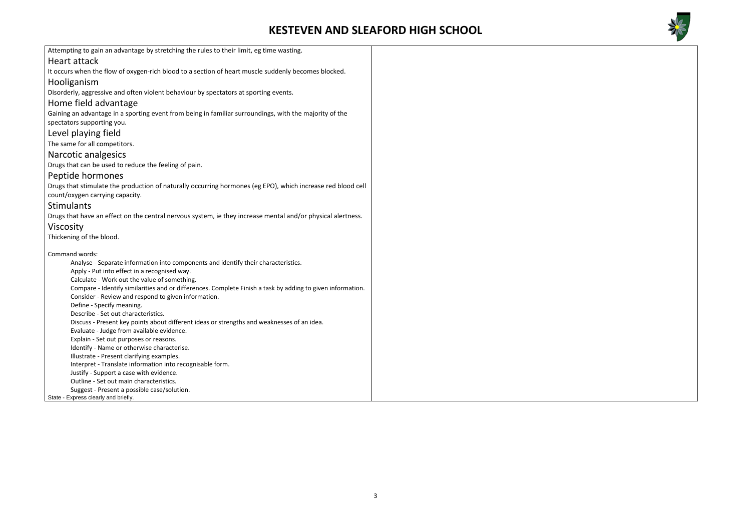

| Attempting to gain an advantage by stretching the rules to their limit, eg time wasting.                    |  |
|-------------------------------------------------------------------------------------------------------------|--|
| <b>Heart attack</b>                                                                                         |  |
| It occurs when the flow of oxygen-rich blood to a section of heart muscle suddenly becomes blocked.         |  |
| Hooliganism                                                                                                 |  |
| Disorderly, aggressive and often violent behaviour by spectators at sporting events.                        |  |
| Home field advantage                                                                                        |  |
| Gaining an advantage in a sporting event from being in familiar surroundings, with the majority of the      |  |
| spectators supporting you.                                                                                  |  |
| Level playing field                                                                                         |  |
| The same for all competitors.                                                                               |  |
| Narcotic analgesics                                                                                         |  |
| Drugs that can be used to reduce the feeling of pain.                                                       |  |
| Peptide hormones                                                                                            |  |
| Drugs that stimulate the production of naturally occurring hormones (eg EPO), which increase red blood cell |  |
| count/oxygen carrying capacity.                                                                             |  |
| <b>Stimulants</b>                                                                                           |  |
| Drugs that have an effect on the central nervous system, ie they increase mental and/or physical alertness. |  |
| Viscosity                                                                                                   |  |
| Thickening of the blood.                                                                                    |  |
|                                                                                                             |  |
| Command words:                                                                                              |  |
| Analyse - Separate information into components and identify their characteristics.                          |  |
| Apply - Put into effect in a recognised way.                                                                |  |
| Calculate - Work out the value of something.                                                                |  |
| Compare - Identify similarities and or differences. Complete Finish a task by adding to given information.  |  |
| Consider - Review and respond to given information.                                                         |  |
| Define - Specify meaning.<br>Describe - Set out characteristics.                                            |  |
| Discuss - Present key points about different ideas or strengths and weaknesses of an idea.                  |  |
| Evaluate - Judge from available evidence.                                                                   |  |
| Explain - Set out purposes or reasons.                                                                      |  |
| Identify - Name or otherwise characterise.                                                                  |  |
| Illustrate - Present clarifying examples.                                                                   |  |
| Interpret - Translate information into recognisable form.                                                   |  |
| Justify - Support a case with evidence.                                                                     |  |
| Outline - Set out main characteristics.                                                                     |  |
| Suggest - Present a possible case/solution.                                                                 |  |
| State - Express clearly and briefly.                                                                        |  |